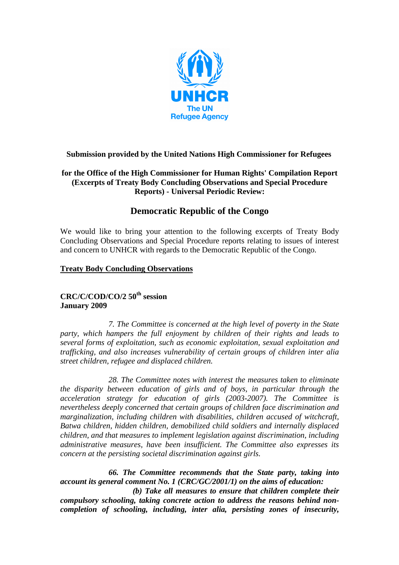

## **Submission provided by the United Nations High Commissioner for Refugees**

## **for the Office of the High Commissioner for Human Rights' Compilation Report (Excerpts of Treaty Body Concluding Observations and Special Procedure Reports) - Universal Periodic Review:**

## **Democratic Republic of the Congo**

We would like to bring your attention to the following excerpts of Treaty Body Concluding Observations and Special Procedure reports relating to issues of interest and concern to UNHCR with regards to the Democratic Republic of the Congo.

#### **Treaty Body Concluding Observations**

# **CRC/C/COD/CO/2 50th session January 2009**

*7. The Committee is concerned at the high level of poverty in the State party, which hampers the full enjoyment by children of their rights and leads to several forms of exploitation, such as economic exploitation, sexual exploitation and trafficking, and also increases vulnerability of certain groups of children inter alia street children, refugee and displaced children.* 

*28. The Committee notes with interest the measures taken to eliminate the disparity between education of girls and of boys, in particular through the acceleration strategy for education of girls (2003-2007). The Committee is nevertheless deeply concerned that certain groups of children face discrimination and marginalization, including children with disabilities, children accused of witchcraft, Batwa children, hidden children, demobilized child soldiers and internally displaced children, and that measures to implement legislation against discrimination, including administrative measures, have been insufficient. The Committee also expresses its concern at the persisting societal discrimination against girls.* 

*66. The Committee recommends that the State party, taking into account its general comment No. 1 (CRC/GC/2001/1) on the aims of education:* 

*(b) Take all measures to ensure that children complete their compulsory schooling, taking concrete action to address the reasons behind noncompletion of schooling, including, inter alia, persisting zones of insecurity,*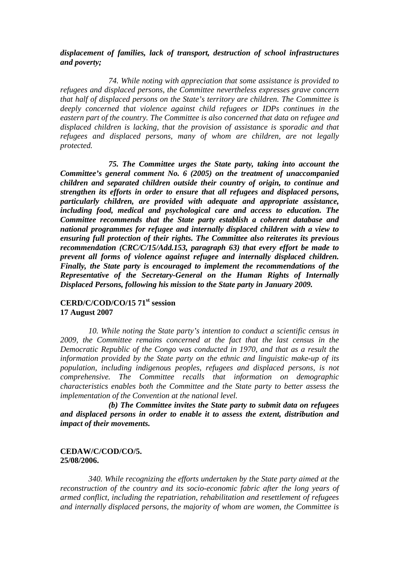#### *displacement of families, lack of transport, destruction of school infrastructures and poverty;*

*74. While noting with appreciation that some assistance is provided to refugees and displaced persons, the Committee nevertheless expresses grave concern that half of displaced persons on the State's territory are children. The Committee is deeply concerned that violence against child refugees or IDPs continues in the eastern part of the country. The Committee is also concerned that data on refugee and displaced children is lacking, that the provision of assistance is sporadic and that refugees and displaced persons, many of whom are children, are not legally protected.* 

*75. The Committee urges the State party, taking into account the Committee's general comment No. 6 (2005) on the treatment of unaccompanied children and separated children outside their country of origin, to continue and strengthen its efforts in order to ensure that all refugees and displaced persons, particularly children, are provided with adequate and appropriate assistance, including food, medical and psychological care and access to education. The Committee recommends that the State party establish a coherent database and national programmes for refugee and internally displaced children with a view to ensuring full protection of their rights. The Committee also reiterates its previous recommendation (CRC/C/15/Add.153, paragraph 63) that every effort be made to prevent all forms of violence against refugee and internally displaced children. Finally, the State party is encouraged to implement the recommendations of the Representative of the Secretary-General on the Human Rights of Internally Displaced Persons, following his mission to the State party in January 2009.* 

## **CERD/C/COD/CO/15 71st session 17 August 2007**

*10. While noting the State party's intention to conduct a scientific census in 2009, the Committee remains concerned at the fact that the last census in the Democratic Republic of the Congo was conducted in 1970, and that as a result the information provided by the State party on the ethnic and linguistic make-up of its population, including indigenous peoples, refugees and displaced persons, is not comprehensive. The Committee recalls that information on demographic characteristics enables both the Committee and the State party to better assess the implementation of the Convention at the national level.* 

*(b) The Committee invites the State party to submit data on refugees and displaced persons in order to enable it to assess the extent, distribution and impact of their movements.* 

#### **CEDAW/C/COD/CO/5. 25/08/2006.**

*340. While recognizing the efforts undertaken by the State party aimed at the reconstruction of the country and its socio-economic fabric after the long years of armed conflict, including the repatriation, rehabilitation and resettlement of refugees and internally displaced persons, the majority of whom are women, the Committee is*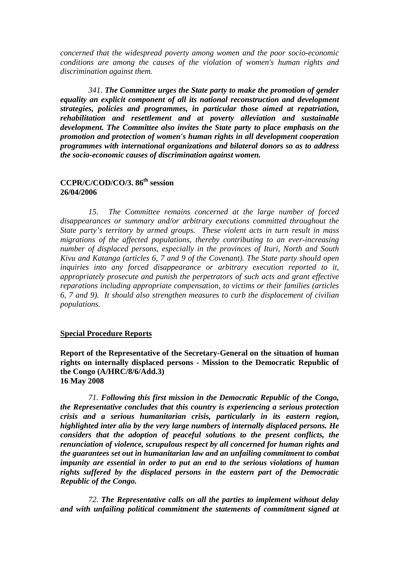*concerned that the widespread poverty among women and the poor socio-economic conditions are among the causes of the violation of women's human rights and discrimination against them.* 

*341. The Committee urges the State party to make the promotion of gender equality an explicit component of all its national reconstruction and development strategies, policies and programmes, in particular those aimed at repatriation, rehabilitation and resettlement and at poverty alleviation and sustainable development. The Committee also invites the State party to place emphasis on the promotion and protection of women's human rights in all development cooperation programmes with international organizations and bilateral donors so as to address the socio-economic causes of discrimination against women.* 

## **CCPR/C/COD/CO/3. 86th session 26/04/2006**

*15. The Committee remains concerned at the large number of forced disappearances or summary and/or arbitrary executions committed throughout the State party's territory by armed groups. These violent acts in turn result in mass migrations of the affected populations, thereby contributing to an ever-increasing number of displaced persons, especially in the provinces of Ituri, North and South Kivu and Katanga (articles 6, 7 and 9 of the Covenant). The State party should open inquiries into any forced disappearance or arbitrary execution reported to it, appropriately prosecute and punish the perpetrators of such acts and grant effective reparations including appropriate compensation, to victims or their families (articles 6, 7 and 9). It should also strengthen measures to curb the displacement of civilian populations.* 

#### **Special Procedure Reports**

**Report of the Representative of the Secretary-General on the situation of human rights on internally displaced persons - Mission to the Democratic Republic of the Congo (A/HRC/8/6/Add.3) 16 May 2008** 

*71. Following this first mission in the Democratic Republic of the Congo, the Representative concludes that this country is experiencing a serious protection crisis and a serious humanitarian crisis, particularly in its eastern region, highlighted inter alia by the very large numbers of internally displaced persons. He considers that the adoption of peaceful solutions to the present conflicts, the renunciation of violence, scrupulous respect by all concerned for human rights and the guarantees set out in humanitarian law and an unfailing commitment to combat impunity are essential in order to put an end to the serious violations of human rights suffered by the displaced persons in the eastern part of the Democratic Republic of the Congo.* 

*72. The Representative calls on all the parties to implement without delay and with unfailing political commitment the statements of commitment signed at*